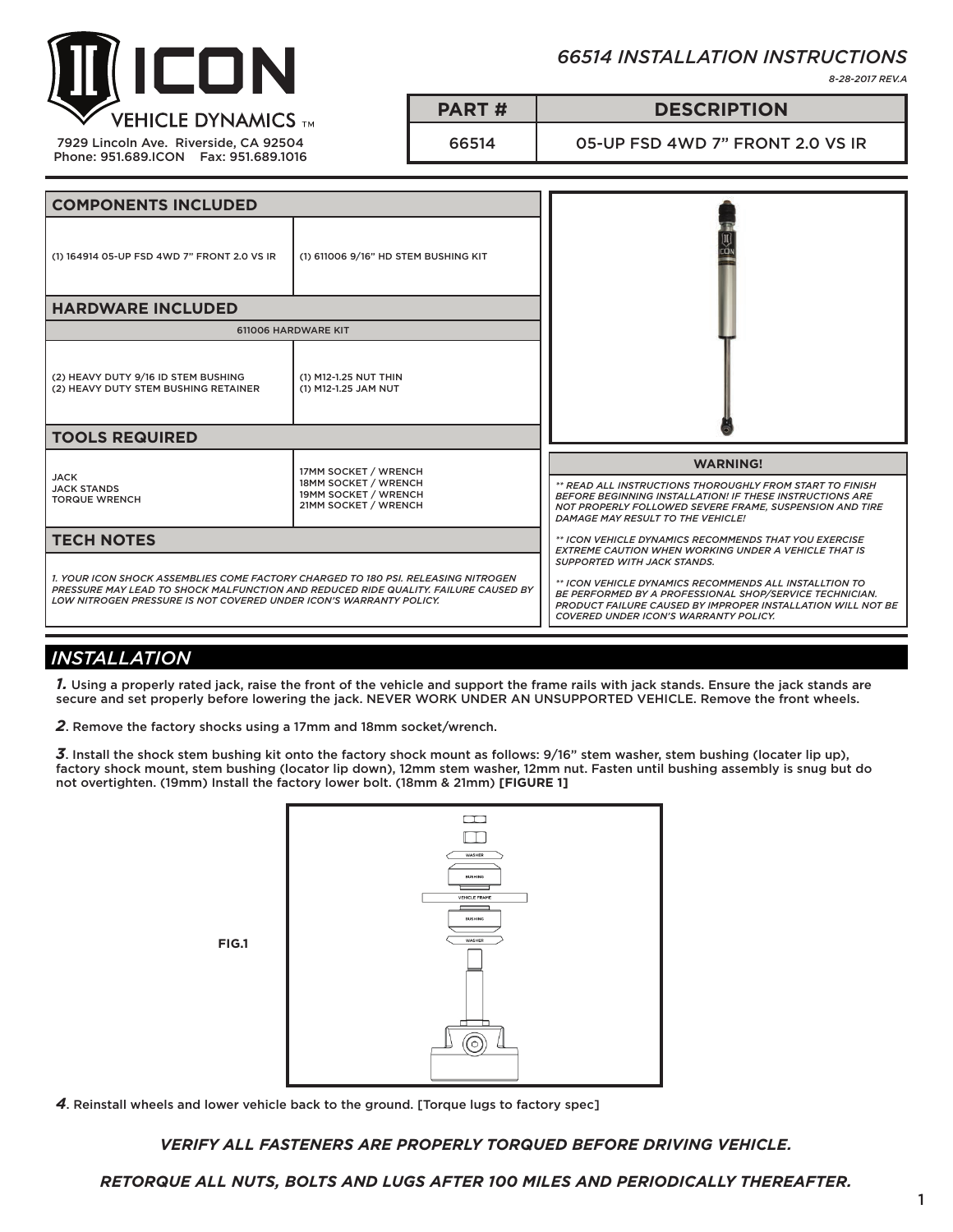

7929 Lincoln Ave. Riverside, CA 92504 Phone: 951.689.ICON Fax: 951.689.1016 *66514 INSTALLATION INSTRUCTIONS*

*8-28-2017 REV.A*

## **PART # DESCRIPTION**

66514 05-UP FSD 4WD 7" FRONT 2.0 VS IR

| <b>COMPONENTS INCLUDED</b>                                                                                                                                                                                                                    |                                                                                              |                                                                                                                                                                                                                                                                        |
|-----------------------------------------------------------------------------------------------------------------------------------------------------------------------------------------------------------------------------------------------|----------------------------------------------------------------------------------------------|------------------------------------------------------------------------------------------------------------------------------------------------------------------------------------------------------------------------------------------------------------------------|
| (1) 164914 05-UP FSD 4WD 7" FRONT 2.0 VS IR                                                                                                                                                                                                   | (1) 611006 9/16" HD STEM BUSHING KIT                                                         |                                                                                                                                                                                                                                                                        |
| <b>HARDWARE INCLUDED</b>                                                                                                                                                                                                                      |                                                                                              |                                                                                                                                                                                                                                                                        |
| 611006 HARDWARE KIT                                                                                                                                                                                                                           |                                                                                              |                                                                                                                                                                                                                                                                        |
| (2) HEAVY DUTY 9/16 ID STEM BUSHING<br>(2) HEAVY DUTY STEM BUSHING RETAINER                                                                                                                                                                   | (1) M12-1.25 NUT THIN<br>(1) M12-1.25 JAM NUT                                                |                                                                                                                                                                                                                                                                        |
| <b>TOOLS REQUIRED</b>                                                                                                                                                                                                                         |                                                                                              |                                                                                                                                                                                                                                                                        |
| <b>JACK</b><br><b>JACK STANDS</b><br><b>TORQUE WRENCH</b>                                                                                                                                                                                     | 17MM SOCKET / WRENCH<br>18MM SOCKET / WRENCH<br>19MM SOCKET / WRENCH<br>21MM SOCKET / WRENCH | <b>WARNING!</b><br>** READ ALL INSTRUCTIONS THOROUGHLY FROM START TO FINISH<br>BEFORE BEGINNING INSTALLATION! IF THESE INSTRUCTIONS ARE<br>NOT PROPERLY FOLLOWED SEVERE FRAME, SUSPENSION AND TIRE<br>DAMAGE MAY RESULT TO THE VEHICLE!                                |
| <b>TECH NOTES</b>                                                                                                                                                                                                                             |                                                                                              | ** ICON VEHICLE DYNAMICS RECOMMENDS THAT YOU EXERCISE<br><b>EXTREME CAUTION WHEN WORKING UNDER A VEHICLE THAT IS</b>                                                                                                                                                   |
| 1. YOUR ICON SHOCK ASSEMBLIES COME FACTORY CHARGED TO 180 PSI. RELEASING NITROGEN<br>PRESSURE MAY LEAD TO SHOCK MALFUNCTION AND REDUCED RIDE QUALITY. FAILURE CAUSED BY<br>LOW NITROGEN PRESSURE IS NOT COVERED UNDER ICON'S WARRANTY POLICY. |                                                                                              | <b>SUPPORTED WITH JACK STANDS.</b><br>** ICON VEHICLE DYNAMICS RECOMMENDS ALL INSTALLTION TO<br>BE PERFORMED BY A PROFESSIONAL SHOP/SERVICE TECHNICIAN.<br>PRODUCT FAILURE CAUSED BY IMPROPER INSTALLATION WILL NOT BE<br><b>COVERED UNDER ICON'S WARRANTY POLICY.</b> |

# *INSTALLATION*

*1.* Using a properly rated jack, raise the front of the vehicle and support the frame rails with jack stands. Ensure the jack stands are secure and set properly before lowering the jack. NEVER WORK UNDER AN UNSUPPORTED VEHICLE. Remove the front wheels.

*2*. Remove the factory shocks using a 17mm and 18mm socket/wrench.

*3*. Install the shock stem bushing kit onto the factory shock mount as follows: 9/16" stem washer, stem bushing (locater lip up), factory shock mount, stem bushing (locator lip down), 12mm stem washer, 12mm nut. Fasten until bushing assembly is snug but do not overtighten. (19mm) Install the factory lower bolt. (18mm & 21mm) **[FIGURE 1]**



*4*. Reinstall wheels and lower vehicle back to the ground. [Torque lugs to factory spec]

*VERIFY ALL FASTENERS ARE PROPERLY TORQUED BEFORE DRIVING VEHICLE.*

*RETORQUE ALL NUTS, BOLTS AND LUGS AFTER 100 MILES AND PERIODICALLY THEREAFTER.*